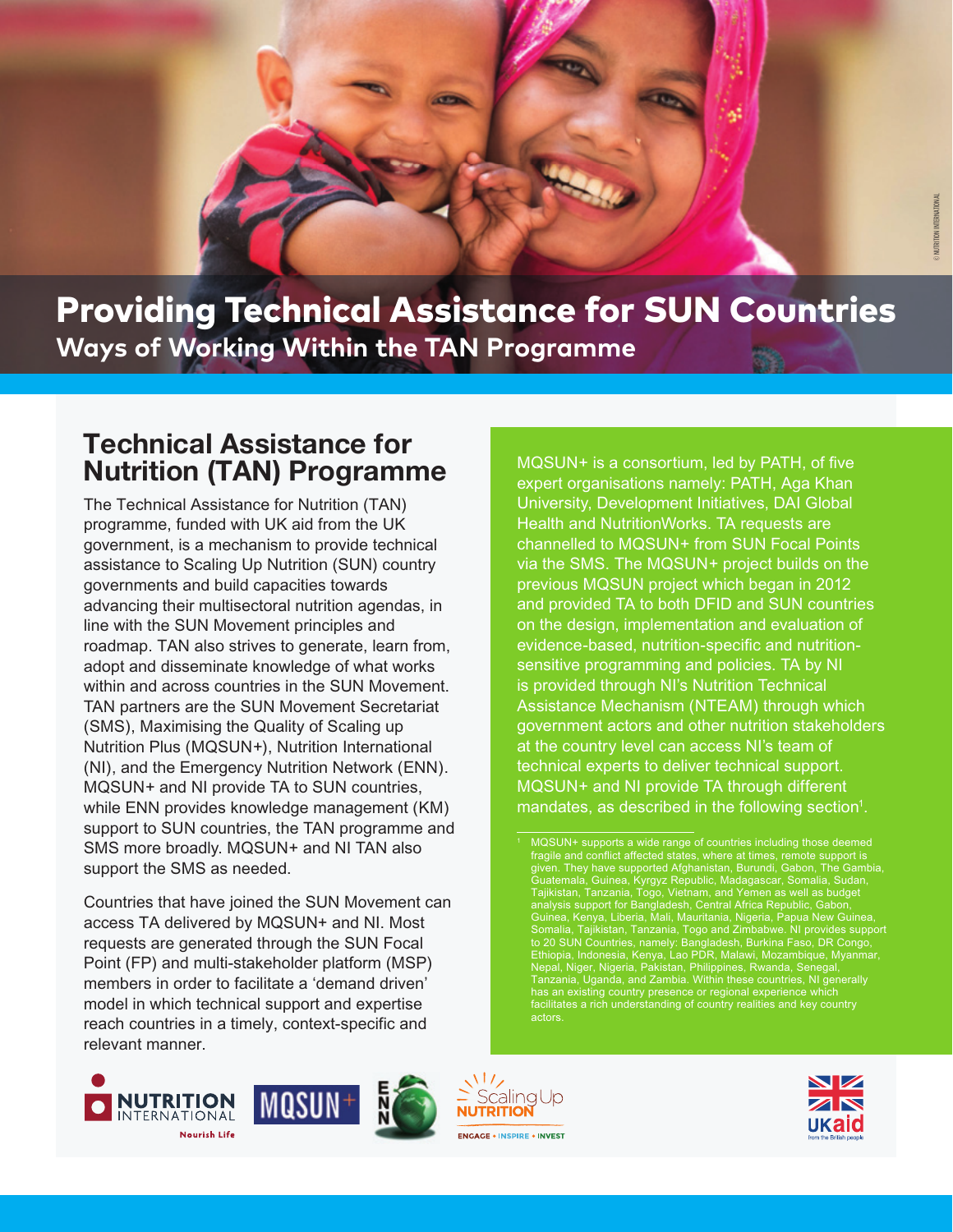

Providing Technical Assistance for SUN Countries **Ways of Working Within the TAN Programme**

© UNICEF

## **Technical Assistance for Nutrition (TAN) Programme**

*The Technical Assistance for Nutrition (TAN) programme, funded with UK aid from the UK government, is a mechanism to provide technical assistance to Scaling Up Nutrition (SUN) country governments and build capacities towards advancing their multisectoral nutrition agendas, in line with the SUN Movement principles and roadmap. TAN also strives to generate, learn from, adopt and disseminate knowledge of what works within and across countries in the SUN Movement. TAN partners are the SUN Movement Secretariat (SMS), Maximising the Quality of Scaling up Nutrition Plus (MQSUN+), Nutrition International (NI), and the Emergency Nutrition Network (ENN). MQSUN+ and NI provide TA to SUN countries, while ENN provides knowledge management (KM) support to SUN countries, the TAN programme and SMS more broadly. MQSUN+ and NI TAN also support the SMS as needed.*

*Countries that have joined the SUN Movement can access TA delivered by MQSUN+ and NI. Most requests are generated through the SUN Focal Point (FP) and multi-stakeholder platform (MSP) members in order to facilitate a 'demand driven' model in which technical support and expertise reach countries in a timely, context-specific and relevant manner.* 

**ENGAGE INSPIRE INVEST** *and provided TA to both DFID and SUN countries*  governments, civil society, , evidence-based, nutrition-specific and nu **Example 2 is an isomopolity contract and sensitive programming and policies. TA by NI** evidence-based, nutrition-specific and nutrition**government actors and other nutrition stakeholders** at the country level can access NI's team of<br>technical experts to deliver technical support. **The Scaling Up August 2013 Movement is a support of young children substitution of young children substitution of young children substitution of young children support of young children support of young children support o** renewed eort to eliminate malnutrition, based on the principle than the principle to form the principle to food that the principle to food that the food to f mandates, as described in the following section<sup>1</sup>. *MQSUN+ is a consortium, led by PATH, of five expert organisations namely: PATH, Aga Khan University, Development Initiatives, DAI Global Health and NutritionWorks. TA requests are channelled to MQSUN+ from SUN Focal Points via the SMS. The MQSUN+ project builds on the previous MQSUN project which began in 2012 on the design, implementation and evaluation of is provided through NI's Nutrition Technical Assistance Mechanism (NTEAM) through which at the country level can access NI's team of* 

and good nutrition. The Movement's vision is to describe the Movement's vision is to, the Movement's vision is

in addition to relevant targets for preventing and

controlling non-communicable diseases.









are well-nourished

by 2030, ensure a world free from malnutrition in  $\mathbb{R}$  is forms. It is formal supported and supported by governments and supported by  $\mathbb{R}$  $\mathbf{r}$  and connect and collective actions  $\mathbf{r}$ ensures event child, and the supported Algorithms and the supported Algorithms and the support of  $\alpha$  $\sigma$ ualemala, Guinea, ryfyddiaethol, iver reach their full potential and shape sustainable sustainable control of the potential and shape sustainable control of the sustainable control of the sustainable control of the sustainable control of the sustainable contro and prosper computed bangadesn, Centre<br>Cuinea Kanua Liberia Mali Mouritania unica, iveriya, Liberia, Mali, Mauritania<br>Conselle Tellisten Teneenie Teneeni to Duriana, rajinibian, ranzania, rugu ani<br>Elizabether de UNIC cuntiles, nomelui Denglede National Report Countries, humany, burglade is transport, machoola, itoliya, Each Dit, n topal, tyget, tygetha, t and and the property in place to put in place to put in place to put in place to put i<br>Top zonio Hanndo ond Zombio Within eective systems and to increase increase in the increase in the inter-SUN COUNTRIES AND COUNTRIES AND THE COUNTRIES AND THE SUPPORT OF THE SUPPORT OF THE SUPPORT OF THE SUPPORT OF THE SUPPORT OF THE SUPPORT OF THE SUPPORT OF THE SUPPORT OF THE SUPPORT OF THE SUPPORT OF THE SUPPORT OF THE SUP *facilitates a rich understanding of country realities and key country actors* maternal, infant, and young child nutrition by 2025, and young child nutrition by 2025, and 2025, and 2025, and  $\mathbf b$  by equal that eliminating matrix  $\mathbf b$  show that eliminating matrix  $\mathbf b$  $\sum_{i=1}^n$  in  $\sum_{i=1}^n$  and  $\sum_{i=1}^n$  and  $\sum_{i=1}^n$  and  $\sum_{i=1}^n$  and  $\sum_{i=1}^n$  and  $\sum_{i=1}^n$  and  $\sum_{i=1}^n$  and  $\sum_{i=1}^n$  and  $\sum_{i=1}^n$  and  $\sum_{i=1}^n$  and  $\sum_{i=1}^n$  and  $\sum_{i=1}^n$  and  $\sum_{i=1}^n$  an erral, Baltich, 1115 Baltica and 11.<br>ascar Somalia Sudan n as  $\epsilon$ a Republic, Gabon. 1/3 of child deaths per year eria, Papua New Guinea, attaining attaining <sub>l</sub>abwe. NI provides support urkina Faso, DR Congo, mendebat children are *n*ozampique, iviyanmar, wanua, Ocneyar, more likely to running to run and the 10% more likely to run and the 10% more likely to run and the 10% more likely to run and the 10% more likely to run and the 10% more likely to run and the 10% more like *thermal international MQSUN+ supports a wide range of countries including those deemed*  fragile and conflict affected states, where at times, remote support is *given. They have supported Afghanistan, Burundi, Gabon, The Gambia, Guatemala, Guinea, Kyrgyz Republic, Madagascar, Somalia, Sudan, Tajikistan, Tanzania, Togo, Vietnam, and Yemen as well as budget analysis support for Bangladesh, Central Africa Republic, Gabon, Guinea, Kenya, Liberia, Mali, Mauritania, Nigeria, Papua New Guinea, Somalia, Tajikistan, Tanzania, Togo and Zimbabwe. NI provides support to 20 SUN Countries, namely: Bangladesh, Burkina Faso, DR Congo, Ethiopia, Indonesia, Kenya, Lao PDR, Malawi, Mozambique, Myanmar, Nepal, Niger, Nigeria, Pakistan, Philippines, Rwanda, Senegal, Tanzania, Uganda, and Zambia. Within these countries, NI generally has an existing country presence or regional experience which*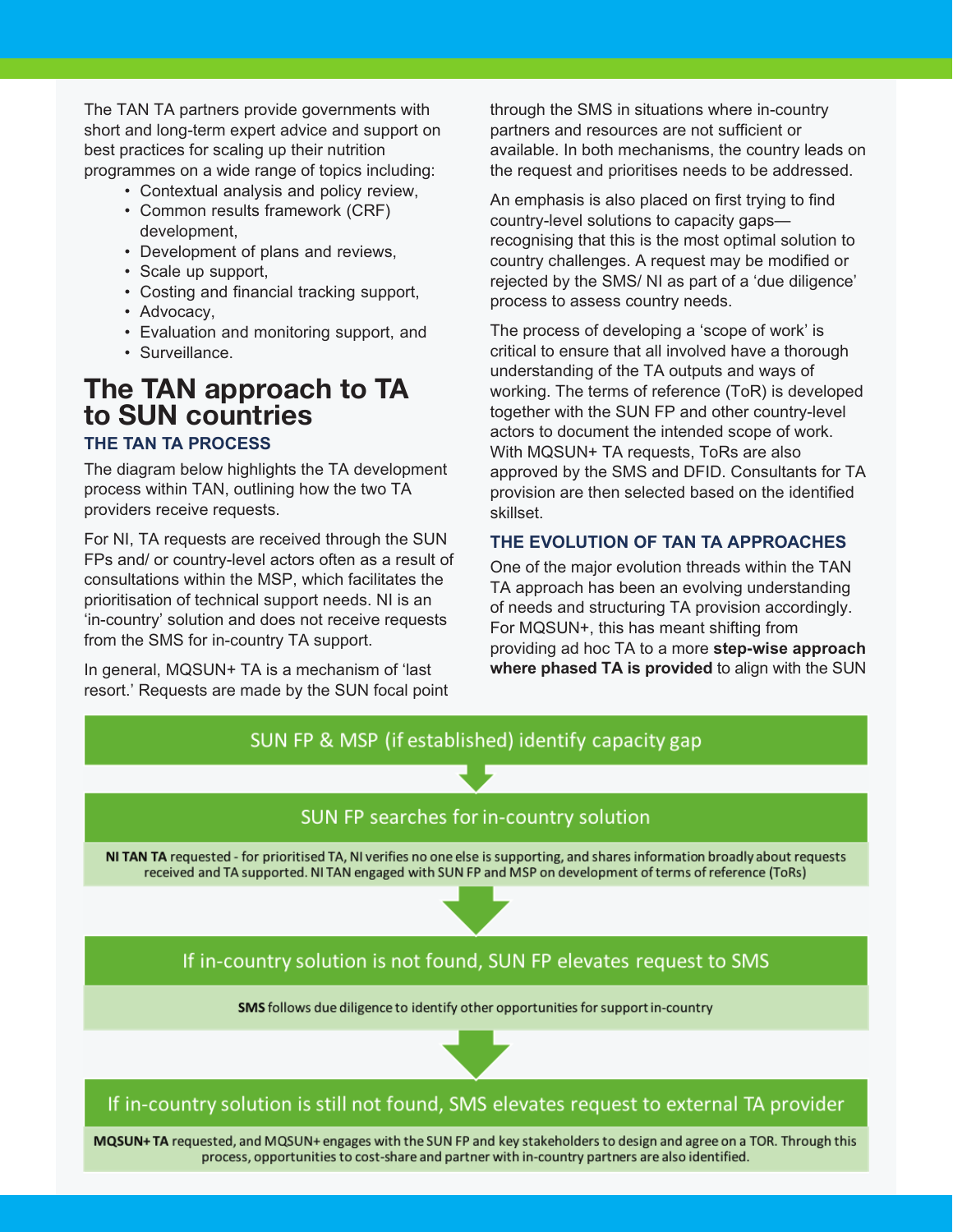*The TAN TA partners provide governments with short and long-term expert advice and support on best practices for scaling up their nutrition programmes on a wide range of topics including:* 

- *Contextual analysis and policy review,*
- *Common results framework (CRF) development,*
- *Development of plans and reviews,*
- *Scale up support,*
- *Costing and financial tracking support,*
- *Advocacy,*
- *Evaluation and monitoring support, and*
- *Surveillance.*

# **The TAN approach to TA to SUN countries**

### *THE TAN TA PROCESS*

*The diagram below highlights the TA development process within TAN, outlining how the two TA providers receive requests.*

*For NI, TA requests are received through the SUN FPs and/ or country-level actors often as a result of consultations within the MSP, which facilitates the prioritisation of technical support needs. NI is an 'in-country' solution and does not receive requests from the SMS for in-country TA support.* 

*In general, MQSUN+ TA is a mechanism of 'last resort.' Requests are made by the SUN focal point*  *through the SMS in situations where in-country partners and resources are not sufficient or available. In both mechanisms, the country leads on the request and prioritises needs to be addressed.* 

*An emphasis is also placed on first trying to find country-level solutions to capacity gaps recognising that this is the most optimal solution to country challenges. A request may be modified or rejected by the SMS/ NI as part of a 'due diligence' process to assess country needs.* 

*The process of developing a 'scope of work' is critical to ensure that all involved have a thorough understanding of the TA outputs and ways of working. The terms of reference (ToR) is developed together with the SUN FP and other country-level actors to document the intended scope of work. With MQSUN+ TA requests, ToRs are also approved by the SMS and DFID. Consultants for TA provision are then selected based on the identified skillset.* 

#### *THE EVOLUTION OF TAN TA APPROACHES*

*One of the major evolution threads within the TAN TA approach has been an evolving understanding of needs and structuring TA provision accordingly. For MQSUN+, this has meant shifting from providing ad hoc TA to a more step-wise approach where phased TA is provided to align with the SUN*

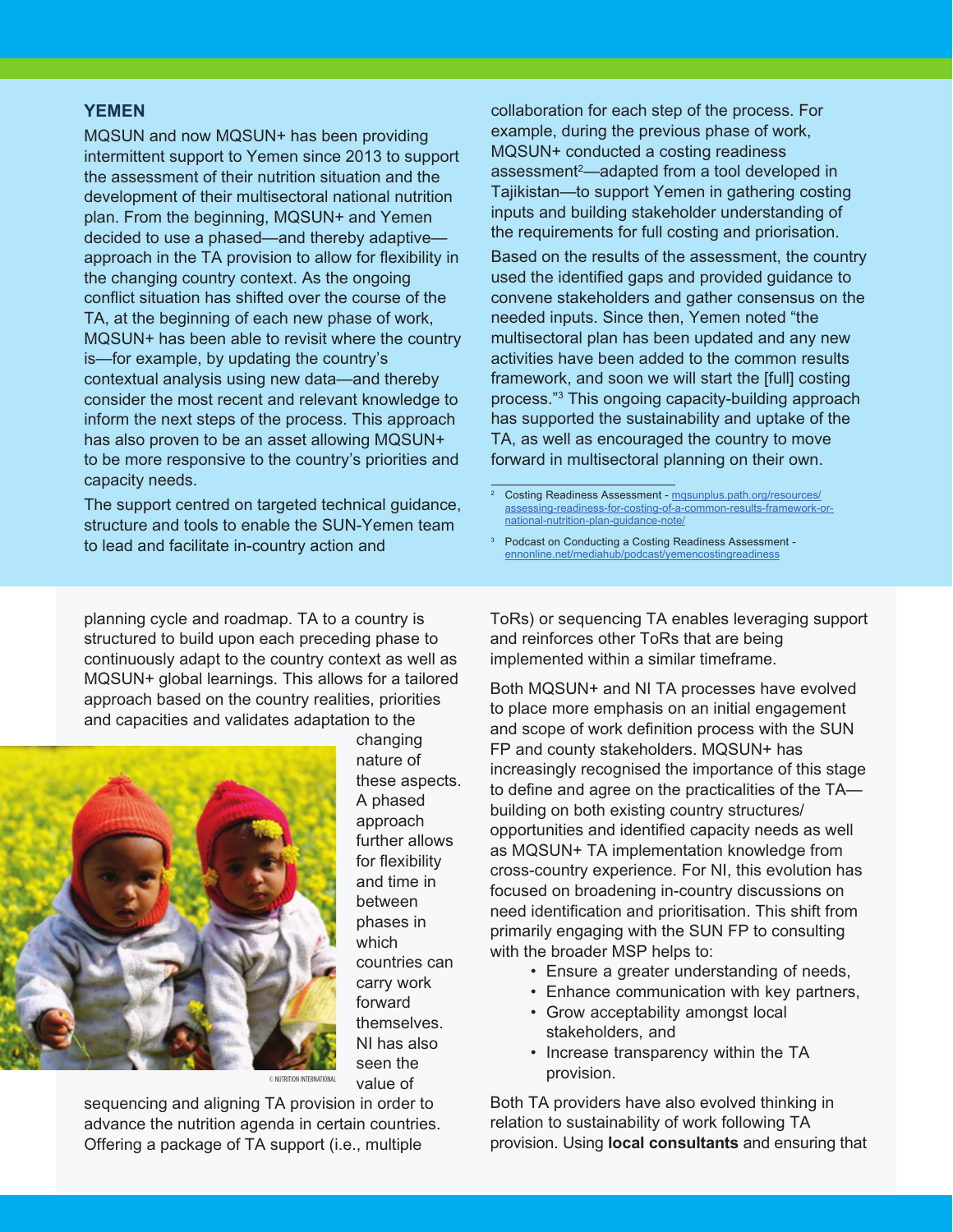#### *YEMEN*

*MQSUN and now MQSUN+ has been providing intermittent support to Yemen since 2013 to support the assessment of their nutrition situation and the development of their multisectoral national nutrition plan. From the beginning, MQSUN+ and Yemen decided to use a phased—and thereby adaptive approach in the TA provision to allow for flexibility in the changing country context. As the ongoing conflict situation has shifted over the course of the TA, at the beginning of each new phase of work, MQSUN+ has been able to revisit where the country is—for example, by updating the country's contextual analysis using new data—and thereby consider the most recent and relevant knowledge to inform the next steps of the process. This approach has also proven to be an asset allowing MQSUN+ to be more responsive to the country's priorities and capacity needs.* 

*The support centred on targeted technical guidance, structure and tools to enable the SUN-Yemen team to lead and facilitate in-country action and* 

*collaboration for each step of the process. For example, during the previous phase of work, MQSUN+ conducted a costing readiness assessment2—adapted from a tool developed in Tajikistan—to support Yemen in gathering costing inputs and building stakeholder understanding of the requirements for full costing and priorisation. Based on the results of the assessment, the country used the identified gaps and provided guidance to convene stakeholders and gather consensus on the needed inputs. Since then, Yemen noted "the multisectoral plan has been updated and any new activities have been added to the common results framework, and soon we will start the [full] costing process."3 This ongoing capacity-building approach has supported the sustainability and uptake of the TA, as well as encouraged the country to move forward in multisectoral planning on their own.* 

*<sup>3</sup> Podcast on Conducting a Costing Readiness Assessment ennonline.net/mediahub/podcast/yemencostingreadiness*

*planning cycle and roadmap. TA to a country is structured to build upon each preceding phase to continuously adapt to the country context as well as MQSUN+ global learnings. This allows for a tailored approach based on the country realities, priorities and capacities and validates adaptation to the* 



*changing nature of these aspects. A phased approach further allows for flexibility and time in between phases in which countries can carry work forward themselves. NI has also seen the value of* 

© NUTRITION INTERNATIONAL

*sequencing and aligning TA provision in order to advance the nutrition agenda in certain countries. Offering a package of TA support (i.e., multiple* 

*ToRs) or sequencing TA enables leveraging support and reinforces other ToRs that are being implemented within a similar timeframe.* 

*Both MQSUN+ and NI TA processes have evolved to place more emphasis on an initial engagement and scope of work definition process with the SUN FP and county stakeholders. MQSUN+ has increasingly recognised the importance of this stage to define and agree on the practicalities of the TA building on both existing country structures/ opportunities and identified capacity needs as well as MQSUN+ TA implementation knowledge from cross-country experience. For NI, this evolution has focused on broadening in-country discussions on need identification and prioritisation. This shift from primarily engaging with the SUN FP to consulting with the broader MSP helps to:* 

- *Ensure a greater understanding of needs,*
- *Enhance communication with key partners,*
- *Grow acceptability amongst local stakeholders, and*
- *Increase transparency within the TA provision.*

*Both TA providers have also evolved thinking in relation to sustainability of work following TA provision. Using local consultants and ensuring that*

*<sup>2</sup> Costing Readiness Assessment - mqsunplus.path.org/resources/ assessing-readiness-for-costing-of-a-common-results-framework-ornational-nutrition-plan-guidance-note/*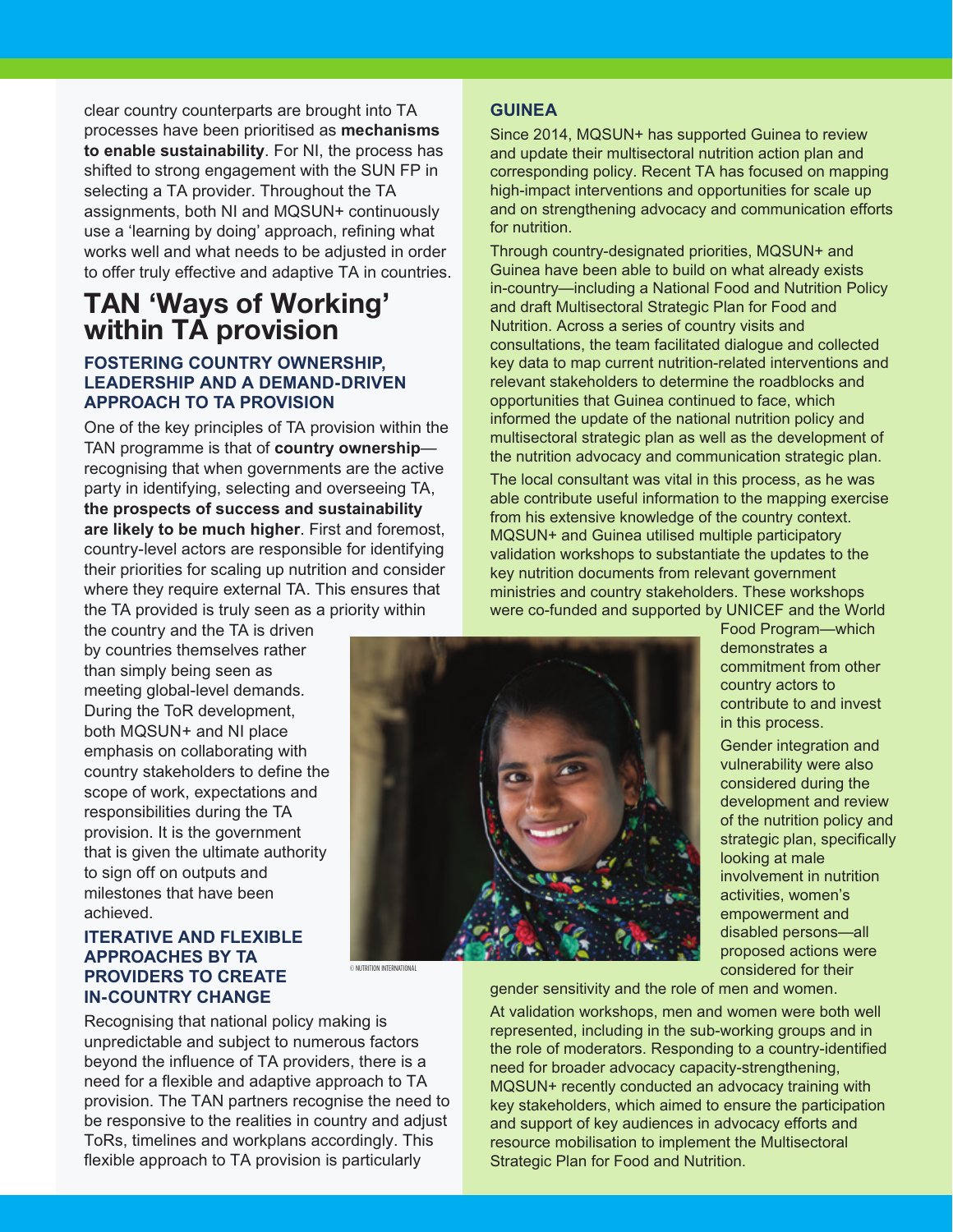*clear country counterparts are brought into TA processes have been prioritised as mechanisms to enable sustainability. For NI, the process has shifted to strong engagement with the SUN FP in selecting a TA provider. Throughout the TA assignments, both NI and MQSUN+ continuously use a 'learning by doing' approach, refining what works well and what needs to be adjusted in order to offer truly effective and adaptive TA in countries.*

## **TAN 'Ways of Working' within TA provision**

#### *FOSTERING COUNTRY OWNERSHIP, LEADERSHIP AND A DEMAND-DRIVEN APPROACH TO TA PROVISION*

*One of the key principles of TA provision within the TAN programme is that of country ownership recognising that when governments are the active party in identifying, selecting and overseeing TA, the prospects of success and sustainability are likely to be much higher. First and foremost, country-level actors are responsible for identifying their priorities for scaling up nutrition and consider where they require external TA. This ensures that the TA provided is truly seen as a priority within* 

*the country and the TA is driven by countries themselves rather than simply being seen as meeting global-level demands. During the ToR development, both MQSUN+ and NI place emphasis on collaborating with country stakeholders to define the scope of work, expectations and responsibilities during the TA provision. It is the government that is given the ultimate authority to sign off on outputs and milestones that have been achieved.*

#### *ITERATIVE AND FLEXIBLE APPROACHES BY TA PROVIDERS TO CREATE IN-COUNTRY CHANGE*

*Recognising that national policy making is unpredictable and subject to numerous factors beyond the influence of TA providers, there is a need for a flexible and adaptive approach to TA provision. The TAN partners recognise the need to be responsive to the realities in country and adjust ToRs, timelines and workplans accordingly. This flexible approach to TA provision is particularly* 

#### *GUINEA*

*Since 2014, MQSUN+ has supported Guinea to review and update their multisectoral nutrition action plan and corresponding policy. Recent TA has focused on mapping high-impact interventions and opportunities for scale up and on strengthening advocacy and communication efforts for nutrition.* 

*Through country-designated priorities, MQSUN+ and Guinea have been able to build on what already exists in-country—including a National Food and Nutrition Policy and draft Multisectoral Strategic Plan for Food and Nutrition. Across a series of country visits and consultations, the team facilitated dialogue and collected key data to map current nutrition-related interventions and relevant stakeholders to determine the roadblocks and opportunities that Guinea continued to face, which informed the update of the national nutrition policy and multisectoral strategic plan as well as the development of the nutrition advocacy and communication strategic plan.* 

*The local consultant was vital in this process, as he was able contribute useful information to the mapping exercise from his extensive knowledge of the country context. MQSUN+ and Guinea utilised multiple participatory validation workshops to substantiate the updates to the key nutrition documents from relevant government ministries and country stakeholders. These workshops were co-funded and supported by UNICEF and the World* 



© NUTRITION INTERNATIONAL

*Food Program—which demonstrates a commitment from other country actors to contribute to and invest in this process.* 

*Gender integration and vulnerability were also considered during the development and review of the nutrition policy and strategic plan, specifically looking at male involvement in nutrition activities, women's empowerment and disabled persons—all proposed actions were considered for their* 

*gender sensitivity and the role of men and women.* 

*At validation workshops, men and women were both well represented, including in the sub-working groups and in the role of moderators. Responding to a country-identified need for broader advocacy capacity-strengthening, MQSUN+ recently conducted an advocacy training with key stakeholders, which aimed to ensure the participation and support of key audiences in advocacy efforts and resource mobilisation to implement the Multisectoral Strategic Plan for Food and Nutrition.*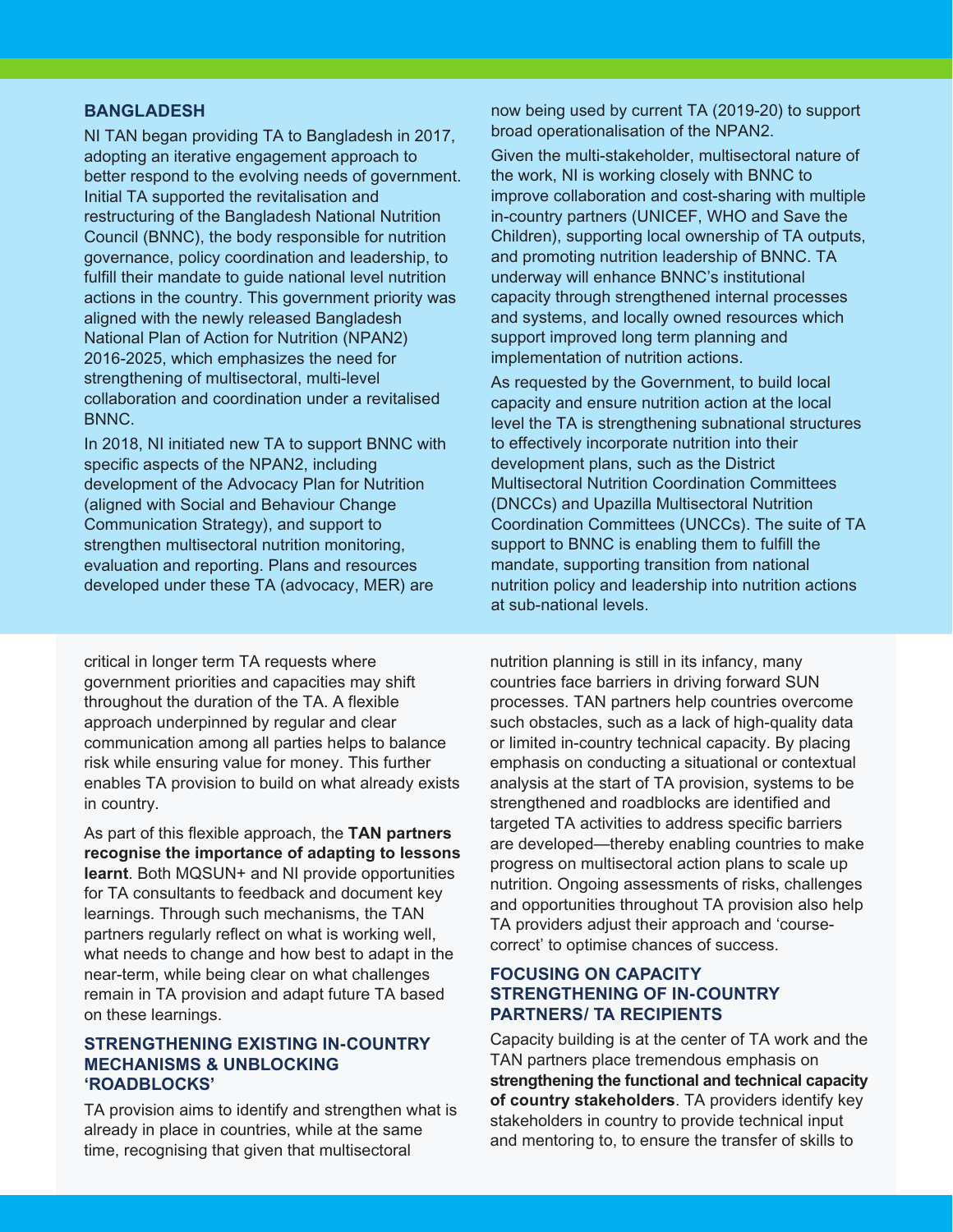#### *BANGLADESH*

*NI TAN began providing TA to Bangladesh in 2017, adopting an iterative engagement approach to better respond to the evolving needs of government. Initial TA supported the revitalisation and restructuring of the Bangladesh National Nutrition Council (BNNC), the body responsible for nutrition governance, policy coordination and leadership, to fulfill their mandate to guide national level nutrition actions in the country. This government priority was aligned with the newly released Bangladesh National Plan of Action for Nutrition (NPAN2) 2016-2025, which emphasizes the need for strengthening of multisectoral, multi-level collaboration and coordination under a revitalised BNNC.* 

*In 2018, NI initiated new TA to support BNNC with specific aspects of the NPAN2, including development of the Advocacy Plan for Nutrition (aligned with Social and Behaviour Change Communication Strategy), and support to strengthen multisectoral nutrition monitoring, evaluation and reporting. Plans and resources developed under these TA (advocacy, MER) are* 

*critical in longer term TA requests where government priorities and capacities may shift throughout the duration of the TA. A flexible approach underpinned by regular and clear communication among all parties helps to balance risk while ensuring value for money. This further enables TA provision to build on what already exists in country.* 

*As part of this flexible approach, the TAN partners recognise the importance of adapting to lessons learnt. Both MQSUN+ and NI provide opportunities for TA consultants to feedback and document key learnings. Through such mechanisms, the TAN partners regularly reflect on what is working well, what needs to change and how best to adapt in the near-term, while being clear on what challenges remain in TA provision and adapt future TA based on these learnings.* 

#### *STRENGTHENING EXISTING IN-COUNTRY MECHANISMS & UNBLOCKING 'ROADBLOCKS'*

*TA provision aims to identify and strengthen what is already in place in countries, while at the same time, recognising that given that multisectoral* 

*now being used by current TA (2019-20) to support broad operationalisation of the NPAN2.* 

*Given the multi-stakeholder, multisectoral nature of the work, NI is working closely with BNNC to improve collaboration and cost-sharing with multiple in-country partners (UNICEF, WHO and Save the Children), supporting local ownership of TA outputs, and promoting nutrition leadership of BNNC. TA underway will enhance BNNC's institutional capacity through strengthened internal processes and systems, and locally owned resources which support improved long term planning and implementation of nutrition actions.* 

*As requested by the Government, to build local capacity and ensure nutrition action at the local level the TA is strengthening subnational structures to effectively incorporate nutrition into their development plans, such as the District Multisectoral Nutrition Coordination Committees (DNCCs) and Upazilla Multisectoral Nutrition Coordination Committees (UNCCs). The suite of TA support to BNNC is enabling them to fulfill the mandate, supporting transition from national nutrition policy and leadership into nutrition actions at sub-national levels.*

*nutrition planning is still in its infancy, many countries face barriers in driving forward SUN processes. TAN partners help countries overcome such obstacles, such as a lack of high-quality data or limited in-country technical capacity. By placing emphasis on conducting a situational or contextual analysis at the start of TA provision, systems to be strengthened and roadblocks are identified and targeted TA activities to address specific barriers are developed—thereby enabling countries to make progress on multisectoral action plans to scale up nutrition. Ongoing assessments of risks, challenges and opportunities throughout TA provision also help TA providers adjust their approach and 'coursecorrect' to optimise chances of success.* 

#### *FOCUSING ON CAPACITY STRENGTHENING OF IN-COUNTRY PARTNERS/ TA RECIPIENTS*

*Capacity building is at the center of TA work and the TAN partners place tremendous emphasis on strengthening the functional and technical capacity of country stakeholders. TA providers identify key stakeholders in country to provide technical input and mentoring to, to ensure the transfer of skills to*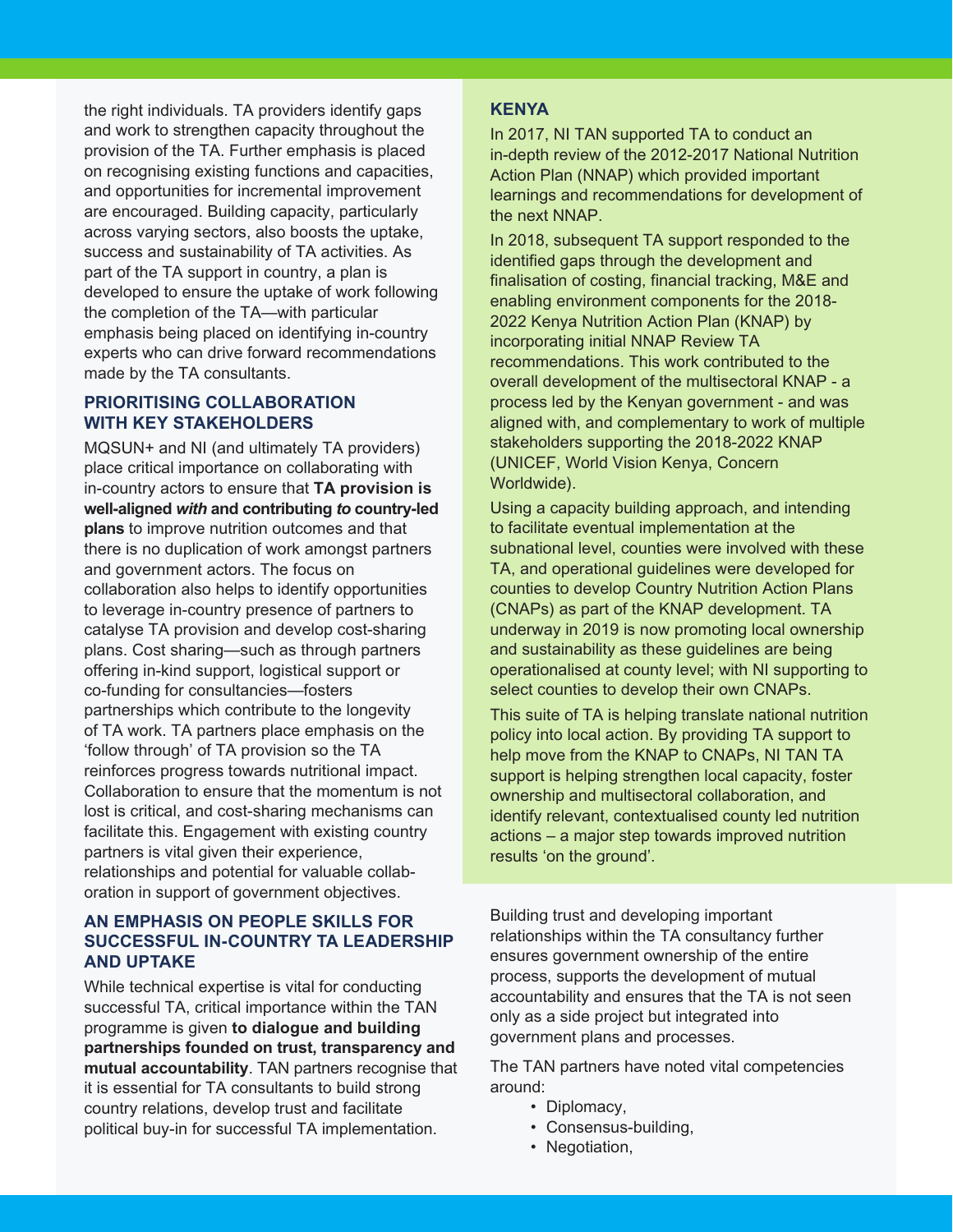*the right individuals. TA providers identify gaps and work to strengthen capacity throughout the provision of the TA. Further emphasis is placed on recognising existing functions and capacities, and opportunities for incremental improvement are encouraged. Building capacity, particularly across varying sectors, also boosts the uptake, success and sustainability of TA activities. As part of the TA support in country, a plan is developed to ensure the uptake of work following the completion of the TA—with particular emphasis being placed on identifying in-country experts who can drive forward recommendations made by the TA consultants.*

#### *PRIORITISING COLLABORATION WITH KEY STAKEHOLDERS*

*MQSUN+ and NI (and ultimately TA providers) place critical importance on collaborating with in-country actors to ensure that TA provision is well-aligned with and contributing to country-led plans to improve nutrition outcomes and that there is no duplication of work amongst partners and government actors. The focus on collaboration also helps to identify opportunities to leverage in-country presence of partners to catalyse TA provision and develop cost-sharing plans. Cost sharing—such as through partners offering in-kind support, logistical support or co-funding for consultancies—fosters partnerships which contribute to the longevity of TA work. TA partners place emphasis on the 'follow through' of TA provision so the TA reinforces progress towards nutritional impact. Collaboration to ensure that the momentum is not lost is critical, and cost-sharing mechanisms can facilitate this. Engagement with existing country partners is vital given their experience, relationships and potential for valuable collaboration in support of government objectives.*

#### *AN EMPHASIS ON PEOPLE SKILLS FOR SUCCESSFUL IN-COUNTRY TA LEADERSHIP AND UPTAKE*

*While technical expertise is vital for conducting successful TA, critical importance within the TAN programme is given to dialogue and building partnerships founded on trust, transparency and mutual accountability. TAN partners recognise that it is essential for TA consultants to build strong country relations, develop trust and facilitate political buy-in for successful TA implementation.*

#### *KENYA*

*In 2017, NI TAN supported TA to conduct an in-depth review of the 2012-2017 National Nutrition Action Plan (NNAP) which provided important learnings and recommendations for development of the next NNAP.* 

*In 2018, subsequent TA support responded to the identified gaps through the development and finalisation of costing, financial tracking, M&E and enabling environment components for the 2018- 2022 Kenya Nutrition Action Plan (KNAP) by incorporating initial NNAP Review TA recommendations. This work contributed to the overall development of the multisectoral KNAP - a process led by the Kenyan government - and was aligned with, and complementary to work of multiple stakeholders supporting the 2018-2022 KNAP (UNICEF, World Vision Kenya, Concern Worldwide).* 

*Using a capacity building approach, and intending to facilitate eventual implementation at the subnational level, counties were involved with these TA, and operational guidelines were developed for counties to develop Country Nutrition Action Plans (CNAPs) as part of the KNAP development. TA underway in 2019 is now promoting local ownership and sustainability as these guidelines are being operationalised at county level; with NI supporting to select counties to develop their own CNAPs.*

*This suite of TA is helping translate national nutrition policy into local action. By providing TA support to help move from the KNAP to CNAPs, NI TAN TA support is helping strengthen local capacity, foster ownership and multisectoral collaboration, and identify relevant, contextualised county led nutrition actions – a major step towards improved nutrition results 'on the ground'.* 

*Building trust and developing important relationships within the TA consultancy further ensures government ownership of the entire process, supports the development of mutual accountability and ensures that the TA is not seen only as a side project but integrated into government plans and processes.* 

*The TAN partners have noted vital competencies around:* 

- *Diplomacy,*
- *Consensus-building,*
- *Negotiation,*